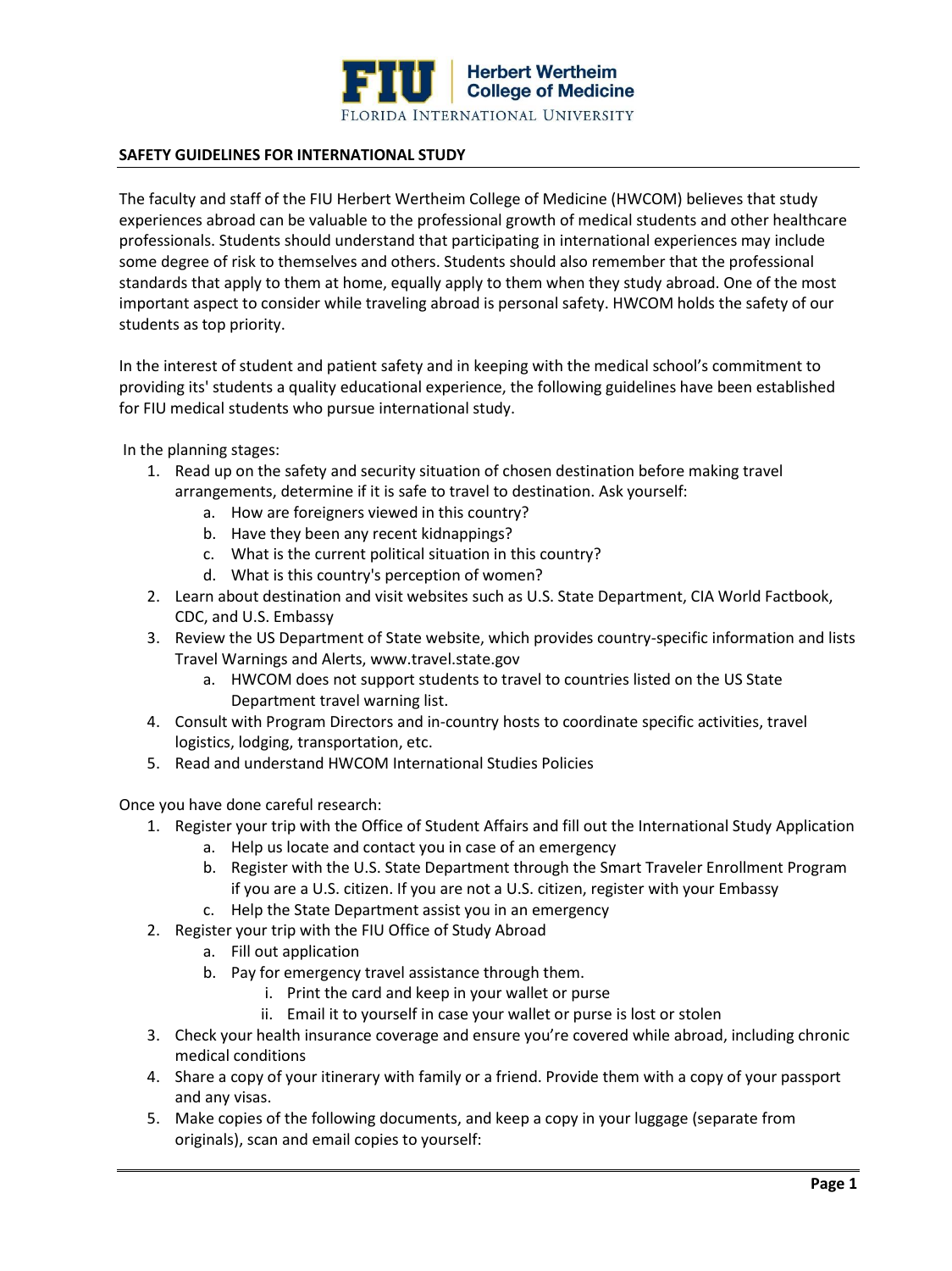

## **SAFETY GUIDELINES FOR INTERNATIONAL STUDY**

The faculty and staff of the FIU Herbert Wertheim College of Medicine (HWCOM) believes that study experiences abroad can be valuable to the professional growth of medical students and other healthcare professionals. Students should understand that participating in international experiences may include some degree of risk to themselves and others. Students should also remember that the professional standards that apply to them at home, equally apply to them when they study abroad. One of the most important aspect to consider while traveling abroad is personal safety. HWCOM holds the safety of our students as top priority.

In the interest of student and patient safety and in keeping with the medical school's commitment to providing its' students a quality educational experience, the following guidelines have been established for FIU medical students who pursue international study.

In the planning stages:

- 1. Read up on the safety and security situation of chosen destination before making travel arrangements, determine if it is safe to travel to destination. Ask yourself:
	- a. How are foreigners viewed in this country?
	- b. Have they been any recent kidnappings?
	- c. What is the current political situation in this country?
	- d. What is this country's perception of women?
- 2. Learn about destination and visit websites such as U.S. State Department, CIA World Factbook, CDC, and U.S. Embassy
- 3. Review the US Department of State website, which provides country-specific information and lists Travel Warnings and Alerts, www.travel.state.gov
	- a. HWCOM does not support students to travel to countries listed on the US State Department travel warning list.
- 4. Consult with Program Directors and in-country hosts to coordinate specific activities, travel logistics, lodging, transportation, etc.
- 5. Read and understand HWCOM International Studies Policies

Once you have done careful research:

- 1. Register your trip with the Office of Student Affairs and fill out the International Study Application
	- a. Help us locate and contact you in case of an emergency
	- b. Register with the U.S. State Department through the Smart Traveler Enrollment Program if you are a U.S. citizen. If you are not a U.S. citizen, register with your Embassy
	- c. Help the State Department assist you in an emergency
- 2. Register your trip with the FIU Office of Study Abroad
	- a. Fill out application
	- b. Pay for emergency travel assistance through them.
		- i. Print the card and keep in your wallet or purse
		- ii. Email it to yourself in case your wallet or purse is lost or stolen
- 3. Check your health insurance coverage and ensure you're covered while abroad, including chronic medical conditions
- 4. Share a copy of your itinerary with family or a friend. Provide them with a copy of your passport and any visas.
- 5. Make copies of the following documents, and keep a copy in your luggage (separate from originals), scan and email copies to yourself: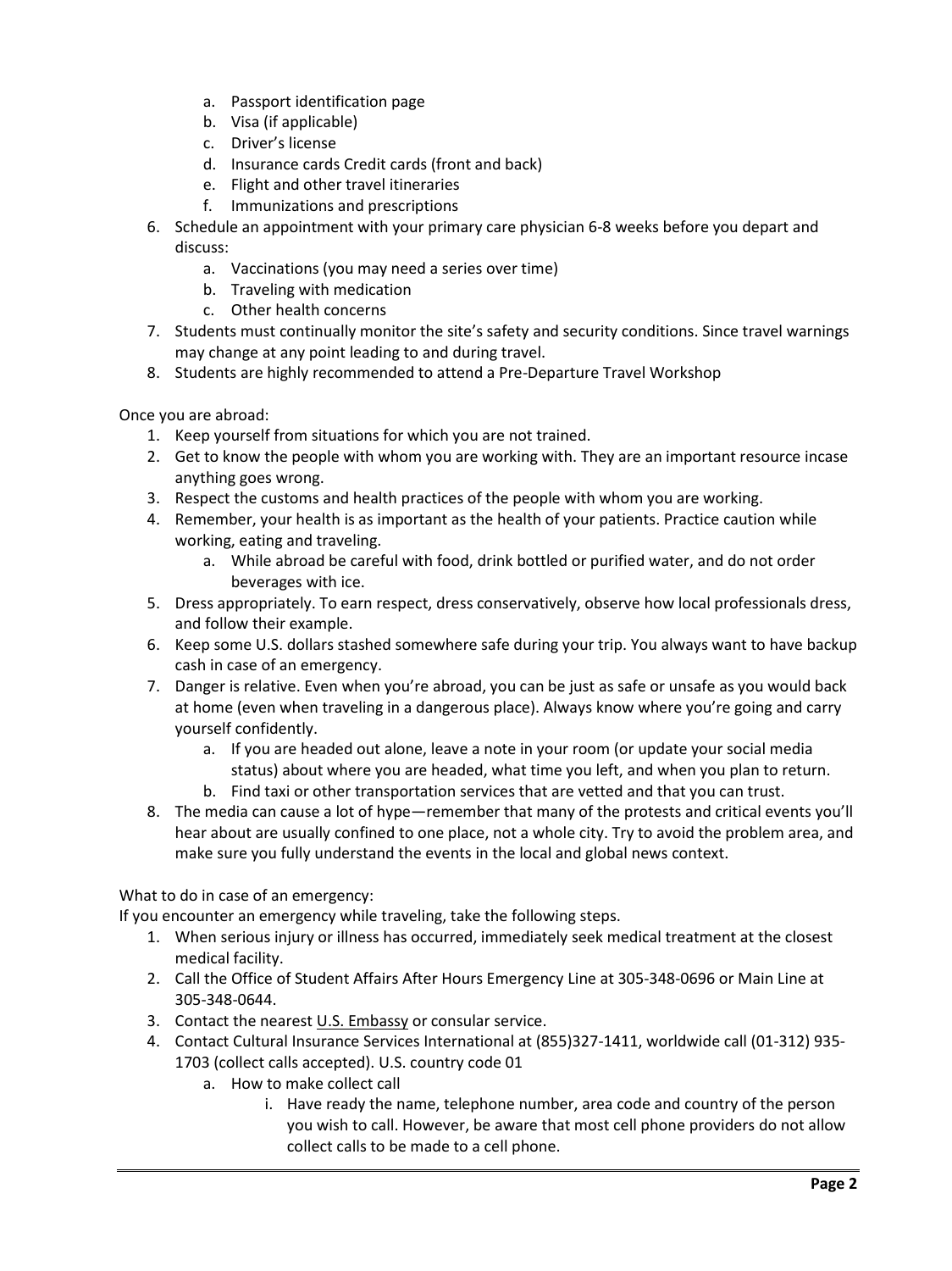- a. Passport identification page
- b. Visa (if applicable)
- c. Driver's license
- d. Insurance cards Credit cards (front and back)
- e. Flight and other travel itineraries
- f. Immunizations and prescriptions
- 6. Schedule an appointment with your primary care physician 6-8 weeks before you depart and discuss:
	- a. Vaccinations (you may need a series over time)
	- b. Traveling with medication
	- c. Other health concerns
- 7. Students must continually monitor the site's safety and security conditions. Since travel warnings may change at any point leading to and during travel.
- 8. Students are highly recommended to attend a Pre-Departure Travel Workshop

Once you are abroad:

- 1. Keep yourself from situations for which you are not trained.
- 2. Get to know the people with whom you are working with. They are an important resource incase anything goes wrong.
- 3. Respect the customs and health practices of the people with whom you are working.
- 4. Remember, your health is as important as the health of your patients. Practice caution while working, eating and traveling.
	- a. While abroad be careful with food, drink bottled or purified water, and do not order beverages with ice.
- 5. Dress appropriately. To earn respect, dress conservatively, observe how local professionals dress, and follow their example.
- 6. Keep some U.S. dollars stashed somewhere safe during your trip. You always want to have backup cash in case of an emergency.
- 7. Danger is relative. Even when you're abroad, you can be just as safe or unsafe as you would back at home (even when traveling in a dangerous place). Always know where you're going and carry yourself confidently.
	- a. If you are headed out alone, leave a note in your room (or update your social media status) about where you are headed, what time you left, and when you plan to return.
	- b. Find taxi or other transportation services that are vetted and that you can trust.
- 8. The media can cause a lot of hype—remember that many of the protests and critical events you'll hear about are usually confined to one place, not a whole city. Try to avoid the problem area, and make sure you fully understand the events in the local and global news context.

What to do in case of an emergency:

If you encounter an emergency while traveling, take the following steps.

- 1. When serious injury or illness has occurred, immediately seek medical treatment at the closest medical facility.
- 2. Call the Office of Student Affairs After Hours Emergency Line at 305-348-0696 or Main Line at 305-348-0644.
- 3. Contact the neares[t U.S. Embassy](https://www.usembassy.gov/) or consular service.
- 4. Contact Cultural Insurance Services International at (855)327-1411, worldwide call (01-312) 935- 1703 (collect calls accepted). U.S. country code 01
	- a. How to make collect call
		- i. Have ready the name, telephone number, area code and country of the person you wish to call. However, be aware that most cell phone providers do not allow collect calls to be made to a cell phone.